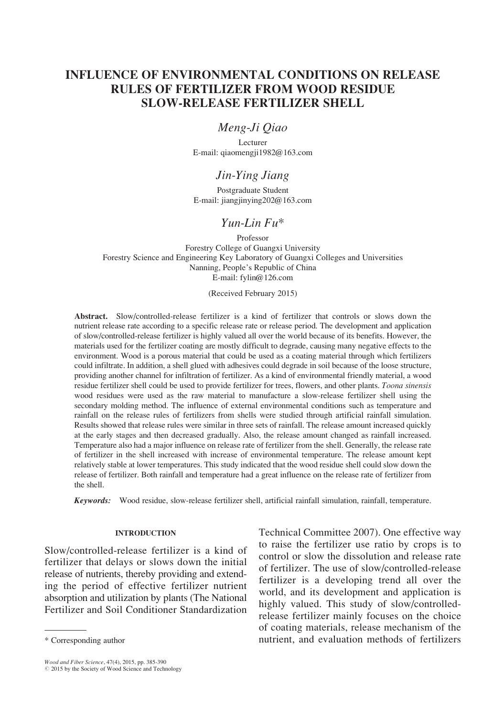# INFLUENCE OF ENVIRONMENTAL CONDITIONS ON RELEASE RULES OF FERTILIZER FROM WOOD RESIDUE SLOW-RELEASE FERTILIZER SHELL

## Meng-Ji Qiao

Lecturer E-mail: qiaomengji1982@163.com

## Jin-Ying Jiang

Postgraduate Student E-mail: jiangjinying202@163.com

# Yun-Lin Fu\*

Professor Forestry College of Guangxi University Forestry Science and Engineering Key Laboratory of Guangxi Colleges and Universities Nanning, People's Republic of China E-mail: fylin@126.com

(Received February 2015)

Abstract. Slow/controlled-release fertilizer is a kind of fertilizer that controls or slows down the nutrient release rate according to a specific release rate or release period. The development and application of slow/controlled-release fertilizer is highly valued all over the world because of its benefits. However, the materials used for the fertilizer coating are mostly difficult to degrade, causing many negative effects to the environment. Wood is a porous material that could be used as a coating material through which fertilizers could infiltrate. In addition, a shell glued with adhesives could degrade in soil because of the loose structure, providing another channel for infiltration of fertilizer. As a kind of environmental friendly material, a wood residue fertilizer shell could be used to provide fertilizer for trees, flowers, and other plants. Toona sinensis wood residues were used as the raw material to manufacture a slow-release fertilizer shell using the secondary molding method. The influence of external environmental conditions such as temperature and rainfall on the release rules of fertilizers from shells were studied through artificial rainfall simulation. Results showed that release rules were similar in three sets of rainfall. The release amount increased quickly at the early stages and then decreased gradually. Also, the release amount changed as rainfall increased. Temperature also had a major influence on release rate of fertilizer from the shell. Generally, the release rate of fertilizer in the shell increased with increase of environmental temperature. The release amount kept relatively stable at lower temperatures. This study indicated that the wood residue shell could slow down the release of fertilizer. Both rainfall and temperature had a great influence on the release rate of fertilizer from the shell.

Keywords: Wood residue, slow-release fertilizer shell, artificial rainfall simulation, rainfall, temperature.

### INTRODUCTION

Slow/controlled-release fertilizer is a kind of fertilizer that delays or slows down the initial release of nutrients, thereby providing and extending the period of effective fertilizer nutrient absorption and utilization by plants (The National Fertilizer and Soil Conditioner Standardization

Wood and Fiber Science, 47(4), 2015, pp. 385-390<br>© 2015 by the Society of Wood Science and Technology

Technical Committee 2007). One effective way to raise the fertilizer use ratio by crops is to control or slow the dissolution and release rate of fertilizer. The use of slow/controlled-release fertilizer is a developing trend all over the world, and its development and application is highly valued. This study of slow/controlledrelease fertilizer mainly focuses on the choice of coating materials, release mechanism of the \* Corresponding author nutrient, and evaluation methods of fertilizers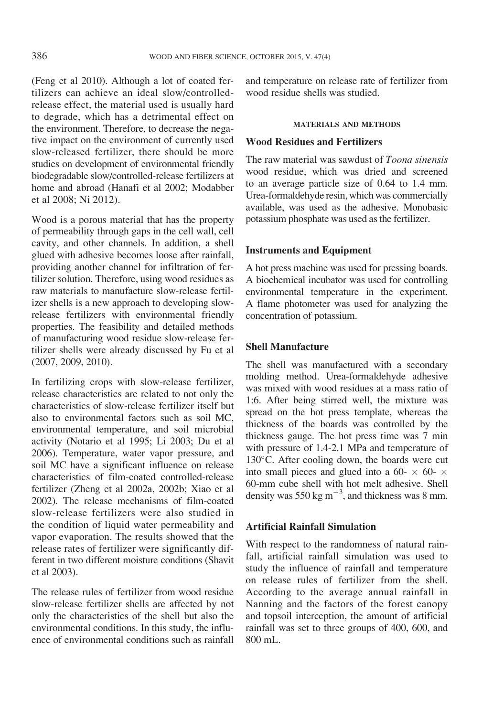(Feng et al 2010). Although a lot of coated fertilizers can achieve an ideal slow/controlledrelease effect, the material used is usually hard to degrade, which has a detrimental effect on the environment. Therefore, to decrease the negative impact on the environment of currently used slow-released fertilizer, there should be more studies on development of environmental friendly biodegradable slow/controlled-release fertilizers at home and abroad (Hanafi et al 2002; Modabber et al 2008; Ni 2012).

Wood is a porous material that has the property of permeability through gaps in the cell wall, cell cavity, and other channels. In addition, a shell glued with adhesive becomes loose after rainfall, providing another channel for infiltration of fertilizer solution. Therefore, using wood residues as raw materials to manufacture slow-release fertilizer shells is a new approach to developing slowrelease fertilizers with environmental friendly properties. The feasibility and detailed methods of manufacturing wood residue slow-release fertilizer shells were already discussed by Fu et al (2007, 2009, 2010).

In fertilizing crops with slow-release fertilizer, release characteristics are related to not only the characteristics of slow-release fertilizer itself but also to environmental factors such as soil MC, environmental temperature, and soil microbial activity (Notario et al 1995; Li 2003; Du et al 2006). Temperature, water vapor pressure, and soil MC have a significant influence on release characteristics of film-coated controlled-release fertilizer (Zheng et al 2002a, 2002b; Xiao et al 2002). The release mechanisms of film-coated slow-release fertilizers were also studied in the condition of liquid water permeability and vapor evaporation. The results showed that the release rates of fertilizer were significantly different in two different moisture conditions (Shavit et al 2003).

The release rules of fertilizer from wood residue slow-release fertilizer shells are affected by not only the characteristics of the shell but also the environmental conditions. In this study, the influence of environmental conditions such as rainfall and temperature on release rate of fertilizer from wood residue shells was studied.

#### MATERIALS AND METHODS

### Wood Residues and Fertilizers

The raw material was sawdust of Toona sinensis wood residue, which was dried and screened to an average particle size of 0.64 to 1.4 mm. Urea-formaldehyde resin, which was commercially available, was used as the adhesive. Monobasic potassium phosphate was used as the fertilizer.

#### Instruments and Equipment

A hot press machine was used for pressing boards. A biochemical incubator was used for controlling environmental temperature in the experiment. A flame photometer was used for analyzing the concentration of potassium.

#### Shell Manufacture

The shell was manufactured with a secondary molding method. Urea-formaldehyde adhesive was mixed with wood residues at a mass ratio of 1:6. After being stirred well, the mixture was spread on the hot press template, whereas the thickness of the boards was controlled by the thickness gauge. The hot press time was 7 min with pressure of 1.4-2.1 MPa and temperature of  $130^{\circ}$ C. After cooling down, the boards were cut into small pieces and glued into a 60-  $\times$  60-  $\times$ 60-mm cube shell with hot melt adhesive. Shell density was 550 kg m<sup> $-3$ </sup>, and thickness was 8 mm.

### Artificial Rainfall Simulation

With respect to the randomness of natural rainfall, artificial rainfall simulation was used to study the influence of rainfall and temperature on release rules of fertilizer from the shell. According to the average annual rainfall in Nanning and the factors of the forest canopy and topsoil interception, the amount of artificial rainfall was set to three groups of 400, 600, and 800 mL.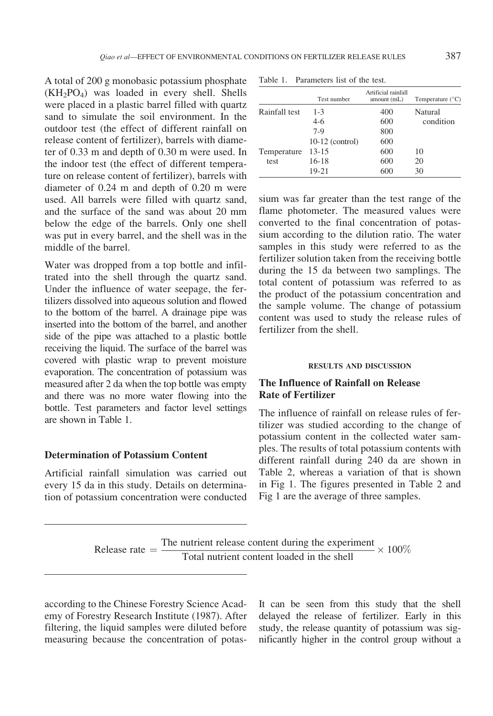Temperature test

A total of 200 g monobasic potassium phosphate (KH2PO4) was loaded in every shell. Shells were placed in a plastic barrel filled with quartz sand to simulate the soil environment. In the outdoor test (the effect of different rainfall on release content of fertilizer), barrels with diameter of 0.33 m and depth of 0.30 m were used. In the indoor test (the effect of different temperature on release content of fertilizer), barrels with diameter of 0.24 m and depth of 0.20 m were used. All barrels were filled with quartz sand, and the surface of the sand was about 20 mm below the edge of the barrels. Only one shell was put in every barrel, and the shell was in the middle of the barrel.

Water was dropped from a top bottle and infiltrated into the shell through the quartz sand. Under the influence of water seepage, the fertilizers dissolved into aqueous solution and flowed to the bottom of the barrel. A drainage pipe was inserted into the bottom of the barrel, and another side of the pipe was attached to a plastic bottle receiving the liquid. The surface of the barrel was covered with plastic wrap to prevent moisture evaporation. The concentration of potassium was measured after 2 da when the top bottle was empty and there was no more water flowing into the bottle. Test parameters and factor level settings are shown in Table 1.

### Determination of Potassium Content

Artificial rainfall simulation was carried out every 15 da in this study. Details on determination of potassium concentration were conducted

Artificial rainfall<br>Test number amount (mL) Temperature (°C) Rainfall test 1-3 400 Natural 4-6 600 condition 7-9 800

10-12 (control) 600

13-15 600 10 16-18 600 20 19-21 600 30

Table 1. Parameters list of the test.

sium was far greater than the test range of the flame photometer. The measured values were converted to the final concentration of potassium according to the dilution ratio. The water samples in this study were referred to as the fertilizer solution taken from the receiving bottle during the 15 da between two samplings. The total content of potassium was referred to as the product of the potassium concentration and the sample volume. The change of potassium content was used to study the release rules of fertilizer from the shell.

#### RESULTS AND DISCUSSION

### The Influence of Rainfall on Release Rate of Fertilizer

The influence of rainfall on release rules of fertilizer was studied according to the change of potassium content in the collected water samples. The results of total potassium contents with different rainfall during 240 da are shown in Table 2, whereas a variation of that is shown in Fig 1. The figures presented in Table 2 and Fig 1 are the average of three samples.

Release rate  $=$  The nutrient release content during the experiment Total nutrient content loaded in the shell  $\sim 100\%$ 

according to the Chinese Forestry Science Academy of Forestry Research Institute (1987). After filtering, the liquid samples were diluted before measuring because the concentration of potas-

It can be seen from this study that the shell delayed the release of fertilizer. Early in this study, the release quantity of potassium was significantly higher in the control group without a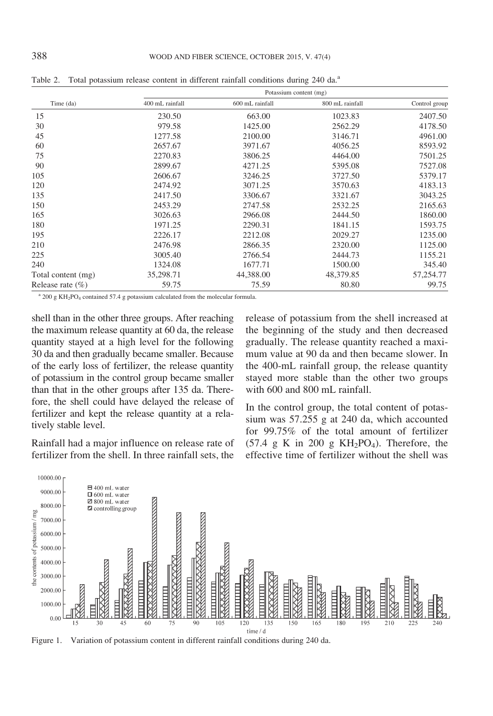|                     |                 | Potassium content (mg) |                 |               |
|---------------------|-----------------|------------------------|-----------------|---------------|
| Time (da)           | 400 mL rainfall | 600 mL rainfall        | 800 mL rainfall | Control group |
| 15                  | 230.50          | 663.00                 | 1023.83         | 2407.50       |
| 30                  | 979.58          | 1425.00                | 2562.29         | 4178.50       |
| 45                  | 1277.58         | 2100.00                | 3146.71         | 4961.00       |
| 60                  | 2657.67         | 3971.67                | 4056.25         | 8593.92       |
| 75                  | 2270.83         | 3806.25                | 4464.00         | 7501.25       |
| 90                  | 2899.67         | 4271.25                | 5395.08         | 7527.08       |
| 105                 | 2606.67         | 3246.25                | 3727.50         | 5379.17       |
| 120                 | 2474.92         | 3071.25                | 3570.63         | 4183.13       |
| 135                 | 2417.50         | 3306.67                | 3321.67         | 3043.25       |
| 150                 | 2453.29         | 2747.58                | 2532.25         | 2165.63       |
| 165                 | 3026.63         | 2966.08                | 2444.50         | 1860.00       |
| 180                 | 1971.25         | 2290.31                | 1841.15         | 1593.75       |
| 195                 | 2226.17         | 2212.08                | 2029.27         | 1235.00       |
| 210                 | 2476.98         | 2866.35                | 2320.00         | 1125.00       |
| 225                 | 3005.40         | 2766.54                | 2444.73         | 1155.21       |
| 240                 | 1324.08         | 1677.71                | 1500.00         | 345.40        |
| Total content (mg)  | 35,298.71       | 44,388.00              | 48,379.85       | 57,254.77     |
| Release rate $(\%)$ | 59.75           | 75.59                  | 80.80           | 99.75         |

Table 2. Total potassium release content in different rainfall conditions during 240 da.<sup>a</sup>

 $a$  200 g KH<sub>2</sub>PO<sub>4</sub> contained 57.4 g potassium calculated from the molecular formula.

shell than in the other three groups. After reaching the maximum release quantity at 60 da, the release quantity stayed at a high level for the following 30 da and then gradually became smaller. Because of the early loss of fertilizer, the release quantity of potassium in the control group became smaller than that in the other groups after 135 da. Therefore, the shell could have delayed the release of fertilizer and kept the release quantity at a relatively stable level.

Rainfall had a major influence on release rate of fertilizer from the shell. In three rainfall sets, the release of potassium from the shell increased at the beginning of the study and then decreased gradually. The release quantity reached a maximum value at 90 da and then became slower. In the 400-mL rainfall group, the release quantity stayed more stable than the other two groups with 600 and 800 mL rainfall.

In the control group, the total content of potassium was 57.255 g at 240 da, which accounted for 99.75% of the total amount of fertilizer  $(57.4 \text{ g K}$  in 200 g KH<sub>2</sub>PO<sub>4</sub>). Therefore, the effective time of fertilizer without the shell was



Figure 1. Variation of potassium content in different rainfall conditions during 240 da.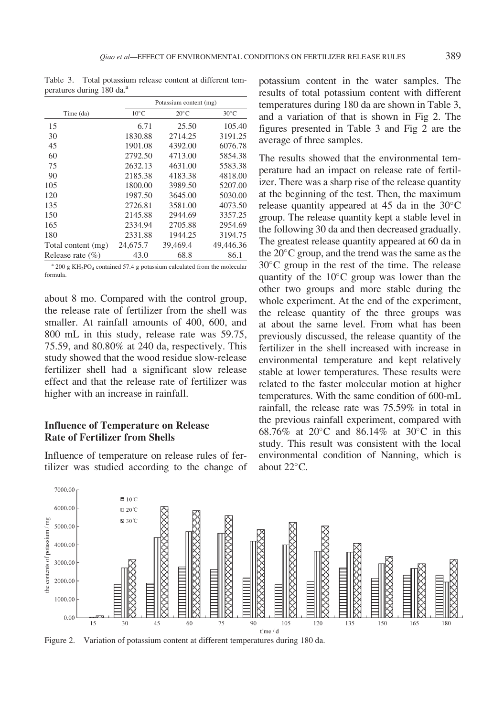Table 3. Total potassium release content at different temperatures during 180 da.<sup>a</sup>

|                      |                | Potassium content (mg) |                |
|----------------------|----------------|------------------------|----------------|
| Time (da)            | $10^{\circ}$ C | $20^{\circ}$ C         | $30^{\circ}$ C |
| 15                   | 6.71           | 25.50                  | 105.40         |
| 30                   | 1830.88        | 2714.25                | 3191.25        |
| 45                   | 1901.08        | 4392.00                | 6076.78        |
| 60                   | 2792.50        | 4713.00                | 5854.38        |
| 75                   | 2632.13        | 4631.00                | 5583.38        |
| 90                   | 2185.38        | 4183.38                | 4818.00        |
| 105                  | 1800.00        | 3989.50                | 5207.00        |
| 120                  | 1987.50        | 3645.00                | 5030.00        |
| 135                  | 2726.81        | 3581.00                | 4073.50        |
| 150                  | 2145.88        | 2944.69                | 3357.25        |
| 165                  | 2334.94        | 2705.88                | 2954.69        |
| 180                  | 2331.88        | 1944.25                | 3194.75        |
| Total content (mg)   | 24,675.7       | 39,469.4               | 49,446.36      |
| Release rate $(\% )$ | 43.0           | 68.8                   | 86.1           |

 $a$  200 g KH<sub>2</sub>PO<sub>4</sub> contained 57.4 g potassium calculated from the molecular formula.

about 8 mo. Compared with the control group, the release rate of fertilizer from the shell was smaller. At rainfall amounts of 400, 600, and 800 mL in this study, release rate was 59.75, 75.59, and 80.80% at 240 da, respectively. This study showed that the wood residue slow-release fertilizer shell had a significant slow release effect and that the release rate of fertilizer was higher with an increase in rainfall.

## Influence of Temperature on Release Rate of Fertilizer from Shells

Influence of temperature on release rules of fertilizer was studied according to the change of potassium content in the water samples. The results of total potassium content with different temperatures during 180 da are shown in Table 3, and a variation of that is shown in Fig 2. The figures presented in Table 3 and Fig 2 are the average of three samples.

The results showed that the environmental temperature had an impact on release rate of fertilizer. There was a sharp rise of the release quantity at the beginning of the test. Then, the maximum release quantity appeared at 45 da in the  $30^{\circ}$ C group. The release quantity kept a stable level in the following 30 da and then decreased gradually. The greatest release quantity appeared at 60 da in the  $20^{\circ}$ C group, and the trend was the same as the  $30^{\circ}$ C group in the rest of the time. The release quantity of the  $10^{\circ}$ C group was lower than the other two groups and more stable during the whole experiment. At the end of the experiment, the release quantity of the three groups was at about the same level. From what has been previously discussed, the release quantity of the fertilizer in the shell increased with increase in environmental temperature and kept relatively stable at lower temperatures. These results were related to the faster molecular motion at higher temperatures. With the same condition of 600-mL rainfall, the release rate was 75.59% in total in the previous rainfall experiment, compared with 68.76% at 20 $^{\circ}$ C and 86.14% at 30 $^{\circ}$ C in this study. This result was consistent with the local environmental condition of Nanning, which is about  $22^{\circ}$ C.



Figure 2. Variation of potassium content at different temperatures during 180 da.